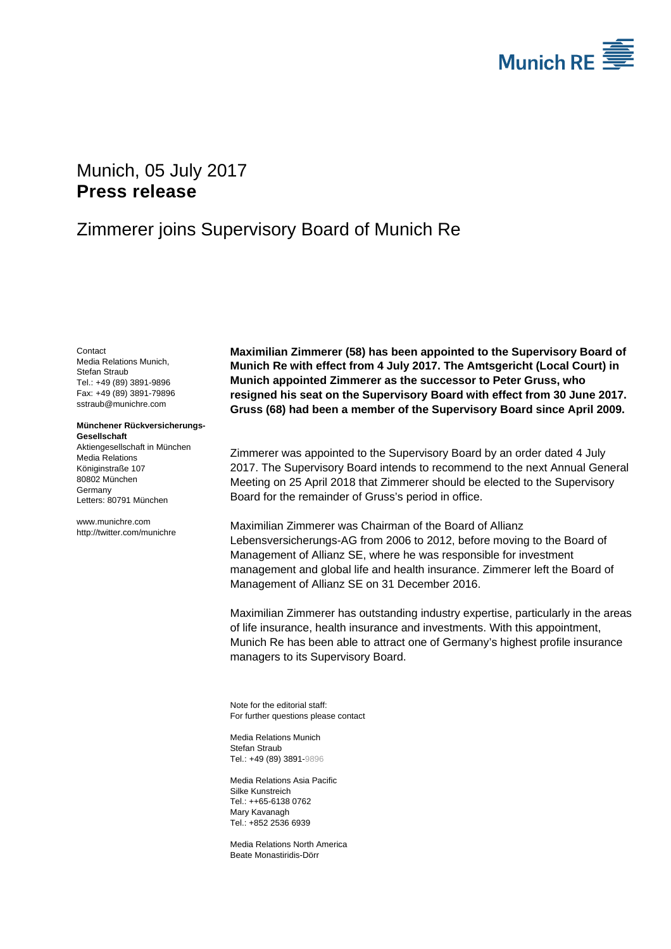

# Munich, 05 July 2017 **Press release**

## Zimmerer joins Supervisory Board of Munich Re

**Contact** Media Relations Munich, Stefan Straub Tel.: +49 (89) 3891-9896 Fax: +49 (89) 3891-79896 sstraub@munichre.com

#### **Münchener Rückversicherungs-Gesellschaft**

Aktiengesellschaft in München Media Relations Königinstraße 107 80802 München Germany Letters: 80791 München

www.munichre.com http://twitter.com/munichre **Maximilian Zimmerer (58) has been appointed to the Supervisory Board of Munich Re with effect from 4 July 2017. The Amtsgericht (Local Court) in Munich appointed Zimmerer as the successor to Peter Gruss, who resigned his seat on the Supervisory Board with effect from 30 June 2017. Gruss (68) had been a member of the Supervisory Board since April 2009.** 

Zimmerer was appointed to the Supervisory Board by an order dated 4 July 2017. The Supervisory Board intends to recommend to the next Annual General Meeting on 25 April 2018 that Zimmerer should be elected to the Supervisory Board for the remainder of Gruss's period in office.

Maximilian Zimmerer was Chairman of the Board of Allianz Lebensversicherungs-AG from 2006 to 2012, before moving to the Board of Management of Allianz SE, where he was responsible for investment management and global life and health insurance. Zimmerer left the Board of Management of Allianz SE on 31 December 2016.

Maximilian Zimmerer has outstanding industry expertise, particularly in the areas of life insurance, health insurance and investments. With this appointment, Munich Re has been able to attract one of Germany's highest profile insurance managers to its Supervisory Board.

Note for the editorial staff: For further questions please contact

Media Relations Munich Stefan Straub Tel.: +49 (89) 3891-9896

Media Relations Asia Pacific Silke Kunstreich Tel.: ++65-6138 0762 Mary Kavanagh Tel.: +852 2536 6939

Media Relations North America Beate Monastiridis-Dörr